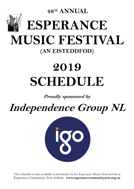

# **2019 SCHEDULE**

**Proudly sponsored by** 

**Independence Group NL**



This schedule is also available to download via the Esperance Music Festival link at Esperance Community Arts website: **www.esperancecommunityarts.org.au**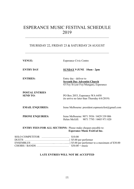# ESPERANCE MUSIC FESTIVAL SCHEDULE 2019

## THURSDAY 22, FRIDAY 23 & SATURDAY 24 AUGUST

| <b>VENUE:</b>                            | <b>Esperance Civic Centre</b>                                                                          |
|------------------------------------------|--------------------------------------------------------------------------------------------------------|
| <b>ENTRY DAY</b>                         | <b>SUNDAY 9 JUNE 10am - 2pm</b>                                                                        |
| <b>ENTRIES:</b>                          | Entry day - deliver to<br><b>Seventh Day Adventist Church</b><br>43 Foy St (cnr Foy/Mungan), Esperance |
| <b>POSTAL ENTRIES</b><br><b>SEND TO:</b> | PO Box 2053, Esperance WA 6450<br>(to arrive no later than Thursday 6/6/2019)                          |
| <b>EMAIL ENQUIRIES:</b>                  | Irene Melbourne: president.espmusicfest@gmail.com                                                      |
| <b>PHONE ENQUIRIES:</b>                  | Irene Melbourne: 9071 5936 / 0429 339 006<br>Helen McGill: 9071 7795 / 0405 971 020                    |
|                                          | ENTRY FEES FOR ALL SECTIONS: Please make cheques payable to:<br><b>Esperance Music Festival Inc.</b>   |
|                                          |                                                                                                        |

#### **LATE ENTRIES WILL NOT BE ACCEPTED**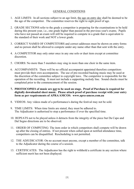## GENERAL CONDITIONS

- 1. AGE LIMITS: In all sections subject to an age limit, the age on entry day shall be deemed to be the age of the competitor. The committee reserves the right to sight proof of age.
- 2. GRADE SECTIONS refer to the grade a competitor is preparing for the examinations to be held during this present year, i.e., one grade higher than passed in the previous year's exams. Pupils who have not passed an exam will still be required to compete in a grade that is equivalent to the standard of their work and NOT a lower grade.
- 3. CORRECT NAMES OF COMPETITORS and correct addresses must be shown on entry forms and no person shall be allowed to compete under any name other than that sent with the entry.
- 4. A COMPETITOR may only enter once in any one solo or duet item except at committee discretion.
- 5. CHOIRS: No more than 5 members may sing in more than one choir in the same item.
- 6. ACCOMPANISTS: There will be no official accompanist appointed therefore competitors must provide their own accompanists. The use of pre-recorded backing music may be used at the discretion of the committee subject to copyright laws. The competitor is responsible for the operation of the recording. It must not include a supporting melody line. Sound checks must be completed prior to the commencement of the session.
- **7. PHOTOCOPIES of music are not to be used on stage. Proof of Purchase is required for digitally downloaded sheet music. Please attach proof of purchase receipt with your entry form as per requirements of APRA/AMCOS: www.apra-amcos.com.au**
- 8. VIDEOS: Any videos made of a performance/s during the festival may not be sold.
- 9. TIME LIMITS: When time limits are stated, they must be adhered to. The Adjudicator is authorised to stop a performance if over the specified time.
- 10. REPEATS not to be played unless it detracts from the integrity of the piece but Da Capo and Dal Segno directions are to be observed.
- 11. ORDER OF COMPETING: The item order in which competitors shall compete will be drawn up after the closing of entries. If not present when called upon at notified attendance time, competitors can be disqualified. Rescheduling is not permitted.
- 12. THE ADJUDICATOR: On no account must anyone, except a member of the committee, talk to the Adjudicator during the course of a session.
- 13. CERTIFICATES: The Adjudicator has the right to withhold a certificate in any section where sufficient merit has not been displayed.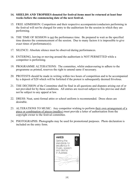#### **14. SHIELDS AND TROPHIES donated for festival items must be returned at least four weeks before the commencing date of the next festival.**

- 15. FREE ADMISSION: Competitors and their respective accompanists/conductors performing in the festival will not be charged for entry to the auditorium for the session in which they are performing.
- 16. THE TIME OF SESSION is not the performance time. Be prepared to wait as the specified time denotes the commencement of the session. Due to many factors it is impossible to give exact times of performance(s).
- 17. SILENCE: Absolute silence must be observed during performances.
- 18. ENTERING, leaving or moving around the auditorium is NOT PERMITTED while a competitor is performing.
- 19. PROGRAMME ALTERATIONS: The committee, whilst endeavouring to adhere to the programme as printed, reserves the right to amend same if necessary.
- 20. PROTESTS should be made in writing within two hours of competition and to be accompanied by a deposit of \$20 which will be forfeited if the protest is subsequently deemed frivolous.
- 21. THE DECISION of the Committee shall be final in all questions and disputes arising out of or not provided for by these conditions. All entries are received subject to this proviso and shall not be subject to any appeal at law.
- 22. DRESS: Neat, semi-formal attire or school uniform is recommended. Dress shoes are desirable.
- 23. ALTERATIONS TO MUSIC: Any competitor wishing to perform their own arrangement of a piece or combination of pieces (medley) must provide a letter of authorisation from the copyright owner to the festival committee.
- 24. PHOTOGRAPHS: Photographs may be used for promotional purposes. Photo declaration is included on the entry form.

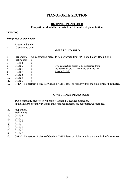## **PIANOFORTE SECTION**

#### **BEGINNER PIANO SOLO Competitors should be in their first 18 months of piano tuition.**

#### **ITEM NO.**

#### **Two pieces of own choice**

- 1. 9 years and under
- 2. 10 years and over

#### **AMEB PIANO SOLO**

- 3. Preparatory Two contrasting pieces to be performed from "P Plate Piano" Book 2 or 3
- 4. Preliminary )<br>5. Grade 1 )
- Grade  $1 \quad \text{)}$
- 6. Grade 2 ) Two contrasting pieces to be performed from the current or old AMEB Piano or Piano for
- 7. Grade 3 )
- 8. Grade 4 )
- 9. Grade 5 )
- 10. Grade 6 )
- 11. Grade 7

12. OPEN - To perform 1 piece of Grade 8 AMEB level or higher within the time limit of **8 minutes.** 

Leisure Syllabi.

#### **OWN CHOICE PIANO SOLO**

Two contrasting pieces of own choice. Grading at teacher discretion. In the Modern stream, variations and/or embellishments are acceptable/encouraged.

- 13. Preparatory
- 14. Preliminary
- 15. Grade 1
- 16. Grade 2
- 17. Grade 3
- 18. Grade 4
- 19. Grade 5
- 20. Grade 6
- 21. Grade 7
- 22. OPEN To perform 1 piece of Grade 8 AMEB level or higher within the time limit of **8 minutes.**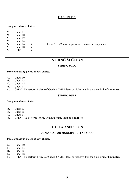#### **PIANO DUETS**

#### **One piece of own choice.**

- 23. Under 8
- 24. Under 10 25. Under 12
- 26. Under 14
- 
- 28. Under 18 )
- 29. OPEN )

27. Under 16 ) Items 27—29 may be performed on one or two pianos.

# **STRING SECTION**

#### **STRING SOLO**

#### **Two contrasting pieces of own choice.**

- 30. Under 10
- 31. Under 13
- 32. Under 15
- 33. Under 18
- 34. OPEN To perform 1 piece of Grade 8 AMEB level or higher within the time limit of **8 minutes.**

#### **STRING DUET**

#### **One piece of own choice.**

- 35. Under 13
- 36. Under 15
- 37. Under 18
- 38. OPEN To perform 1 piece within the time limit of **8 minutes.**

# **GUITAR SECTION**

#### **CLASSICAL OR MODERN GUITAR SOLO**

#### **Two contrasting pieces of own choice.**

- 39. Under 10
- 40. Under 13
- 41. Under 15
- 42. Under 18
- 43. OPEN To perform 1 piece of Grade 8 AMEB level or higher within the time limit of **8 minutes.**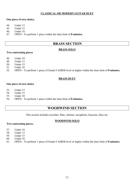#### **CLASSICAL OR MODERN GUITAR DUET**

#### **One piece of own choice.**

- 44. Under 13
- 45. Under 15
- 46. Under 18
- 47. OPEN To perform 1 piece within the time limit of **8 minutes**.

# **BRASS SECTION**

#### **BRASS SOLO**

#### **Two contrasting pieces**

- 48. Under 10
- 49. Under 13
- 50. Under 15
- 51. Under 18
- 52. OPEN To perform 1 piece of Grade 8 AMEB level or higher within the time limit of **8 minutes.**

#### **BRASS DUET**

#### **One piece of own choice**

- 53. Under 13
- 54. Under 15
- 55. Under 18
- 56. OPEN To perform 1 piece within the time limit of **8 minutes.**

## **WOODWIND SECTION**

This section includes recorder, flute, clarinet, saxophone, bassoon, oboe etc.

#### **WOODWIND SOLO**

#### **Two contrasting pieces.**

- 57. Under 10
- 58. Under 13
- 59. Under 15
- 60. Under 18
- 61. OPEN To perform 1 piece of Grade 8 AMEB level or higher within the time limit of **8 minutes.**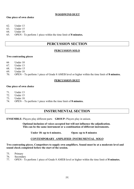#### **WOODWIND DUET**

#### **One piece of own choice**

62. Under 13

63. Under 15

64. Under 18

65. OPEN - To perform 1 piece within the time limit of **8 minutes.**

# **PERCUSSION SECTION**

#### **PERCUSSION SOLO**

#### **Two contrasting pieces**

- 66 Under 10
- 67. Under 13
- 68. Under 15
- 69. Under 18
- 70. OPEN To perform 1 piece of Grade 8 AMEB level or higher within the time limit of **8 minutes.**

#### **PERCUSSION DUET**

#### **One piece of own choice**

- 71. Under 13
- 72. Under 15
- 73. Under 18
- 74. OPEN To perform 1 piece within the time limit of **8 minutes.**

# **INSTRUMENTAL SECTION**

**ENSEMBLE:** Players play different parts **GROUP:** Players play in unison.

**Optional inclusion of voices accepted but will not influence the adjudication. This can be the same instrument or a combination of different instruments.**

**Under 18: up to 6 minutes. Open: up to 8 minutes**

#### **CONTEMPORARY AMPLIFIED INSTRUMENTAL SOLO**

#### **Two contrasting pieces. Competitors to supply own amplifiers. Sound must be at a moderate level and sound check completed before the start of the session.**

- 75. Primary
- 76. Secondary
- 77. OPEN To perform 1 piece of Grade 8 AMEB level or higher within the time limit of **8 minutes.**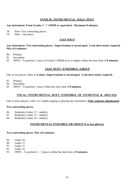#### **OVER 18: INSTRUMENTAL SOLO / DUET**

#### **Any instrument. From Grades 1 - 7 AMEB or equivalent. Maximum 8 minutes.**

78. Solo-Two contrasting pieces.<br>79. Duet – One piece.

Duet – One piece.

#### **JAZZ SOLO**

**Any instrument. Two contrasting pieces. Improvisation is encouraged. Lead sheet music required. Max of 6 minutes.**

- 80. Primary
- 81. Secondary
- 82. OPEN To perform 1 piece of Grade 8 AMEB level or higher within the time limit of **8 minutes.**

#### **JAZZ DUET / ENSEMBLE / GROUP**

One or two pieces. (Max of **4 mins**)**. Improvisation is encouraged. Lead sheet music required.** 

- 83. Primary
- 84. Secondary
- 85. OPEN To perform 1 piece within the time limit of **8 minutes.**

#### **VOCAL / INSTRUMENTAL DUET / ENSEMBLE OF STUDENT(S) & ADULT(S)**

One or more players, with 1 or 2 adults singing or playing any instrument. (**Only students adjudicated**).

#### **Two contrasting pieces.**

- 86. Student(s) Under  $13 + \text{adult(s)}$
- 87. Student(s) Under  $15 + \text{adult}(s)$
- 88. Student(s) Under  $18 + \text{adult(s)}$

#### **INSTRUMENTAL ENSEMBLE OR GROUP (5 or less players)**

#### **Two contrasting pieces. Max of 6 minutes.**

- 89. Under 10
- 90. Under 13
- 91. Under 15
- 92. Under 18
- 93. OPEN To perform 1 2 pieces within the time limit of **8 minutes.**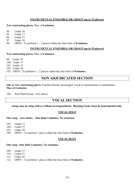#### **INSTRUMENTAL ENSEMBLE OR GROUP (up to 15 players)**

#### **Two contrasting pieces.** Max of **6 minutes.**

- 94. Under 10<br>95. Under 13
- Under 13
- 96. Under 15
- 97. Under 18
- 98. OPEN To perform 1 2 pieces within the time limit of **8 minutes.**

#### **INSTRUMENTAL ENSEMBLE OR GROUP (up to 35 players)**

#### **Two contrasting pieces.** Max of **6 minutes.**

99. Under 10

- 100. Under 13
- 101. Under 15

102. Under 18

103. OPEN - To perform 1 – 2 pieces within the time limit of **8 minutes.**

# **NON ADJUDICATED SECTION**

**One or two contrasting pieces.** Families/friends encouraged. Vocal or instrumental or combination. **Max of 4 minutes.**

104. Solo/Duet/Group - own choice.

# **VOCAL SECTION**

**Songs may be sung with or without accompaniment. Backing tracks must be instrumental only.**

#### **VOCAL SOLO**

#### **One song – own choice – time limit 4 minutes. No costumes.**

- 105. Under 13
- 106. Under 15
- 107. Under 18
- 108. OPEN To perform 1 piece within the time limit of **8 minutes.**

#### **VOCAL DUET**

#### **One song– time limit 4 minutes. No costumes.**

- 109. Under 13
- 110. Under 15
- 111. Under 18
- 112. OPEN To perform 1 piece within the time limit of **8 minutes.**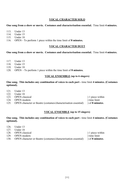#### **VOCAL CHARACTER SOLO**

#### **One song from a show or movie. Costumes and characterisation essential.** Time limit **4 minutes.**

- 113. Under 13<br>114 Under 15
- Under 15
- 115. Under 18
- 116. OPEN To perform 1 piece within the time limit of **8 minutes.**

#### **VOCAL CHARACTER DUET**

#### **One song from a show or movie. Costumes and characterisation essential.** Time limit **4 minutes.**

- 117. Under 13
- 118. Under 15
- 119. Under 18
- 120. OPEN To perform 1 piece within the time limit of **8 minutes.**

#### **VOCAL ENSEMBLE (up to 6 singers)**

#### **One song. This includes any combination of voices to each part -** time limit **4 minutes. (Costumes optional).**

- 121. Under 13
- 122. Under 18
- 123. OPEN classical (123. OPEN classical terms) 1 piece within
- 124. OPEN modern **Intervalled** in the limit
- 125. OPEN character or theatre (costumes/characterisation essential) ) of **8 minutes**.

#### **VOCAL ENSEMBLE (up to 15 singers)**

#### **One song. This includes any combination of voices to each part -** time limit **4 minutes. (Costumes optional).**

126. Under 13 127. Under 18 128. OPEN classical (128. OPEN classical ) 1 piece within 129. OPEN modern (a) time limit 130. OPEN character or theatre (costumes/characterisation essential) ) of **8 minutes**.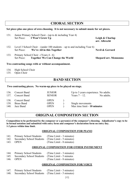# **CHORAL SECTION**

#### **Set piece plus one piece of own choosing. It is not necessary to submit music for set pieces.**

| 131. | Junior Primary School Choir - (up to $&$ including Year 4)<br>Set Piece: I Won't Grow Up                          | Leigh & Charlap<br>arr. Albrecht |
|------|-------------------------------------------------------------------------------------------------------------------|----------------------------------|
| 132. | Level 3 School Choir – (under 100 students – up to and including Year 6)<br>Set Piece: We're All in this Together | Nevil & Gerrard                  |
| 133. | Primary School Choir - (Years 4 - 6)<br>Set Piece: Together We Can Change the World                               | <b>Shepard arr. Mennonna</b>     |

**Two contrasting songs with or without accompaniment.**

134. High School Choir

135. Open Choir

# **BAND SECTION**

#### **Two contrasting pieces. No warm-up piece to be played on stage.**

| 136.         | <b>Concert Band</b><br>137. Concert Band     | <b>JUNIOR</b><br><b>SENIOR</b>            | Up to 3 years experience. No adults.<br>Years $7 - 12$ . | No adults. |
|--------------|----------------------------------------------|-------------------------------------------|----------------------------------------------------------|------------|
| 139.<br>140. | 138. Concert Band<br>Brass Band<br>Jazz Band | <b>OPEN</b><br><b>OPEN</b><br><b>OPEN</b> | Single movements<br>Max time limit - 10 minutes          |            |

# **ORIGINAL COMPOSITION SECTION**

**Composition to be performed by the composer or a person(s) of the composer's choosing. Adjudicator's copy to be in formal notation and submitted with entry form and composer's declaration form on entry day. 1-2 pieces within time limit.**

#### **ORIGINAL COMPOSITION FOR PIANO**

| 141. Primary School Students (Time Limit - 3 minutes)   |                          |
|---------------------------------------------------------|--------------------------|
| 142. Secondary School Students (Time Limit - 5 minutes) |                          |
| 143. OPEN                                               | (Time Limit - 8 minutes) |

#### **ORIGINAL COMPOSITION FOR OTHER INSTRUMENT**

| 144. Primary School Students (Time Limit - 3 minutes)   |                          |
|---------------------------------------------------------|--------------------------|
| 145. Secondary School Students (Time Limit - 5 minutes) |                          |
| 146. OPEN                                               | (Time Limit - 8 minutes) |

#### **ORIGINAL COMPOSITION FOR VOICE**

| 147. | <b>Primary School Students</b>                     | (Time Limit - 3 minutes) |
|------|----------------------------------------------------|--------------------------|
| 148. | Secondary School Students (Time Limit - 5 minutes) |                          |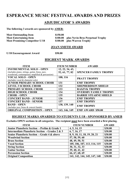# **ESPERANCE MUSIC FESTIVALAWARDS AND PRIZES**

# **ADJUDICATOR' S AWARDS**

**The following 3 awards are sponsored by AMEB:**

| <b>Most Outstanding Item</b>          | \$150.00 |                                           |
|---------------------------------------|----------|-------------------------------------------|
| <b>Most Entertaining Item</b>         |          | \$100.00 plus Nevin Bros Perpetual Trophy |
| <b>Most Promising Competitor U/18</b> |          | \$100.00 plus Warren Trophy               |

### **JOAN SMITH AWARD**

**U/18 Encouragement Award \$50.00**

# **HIGHEST MARK AWARDS**

| <b>ITEM</b>                                                                                      | <b>ITEM NUMBER</b> | <b>AWARD</b>                 |
|--------------------------------------------------------------------------------------------------|--------------------|------------------------------|
| <b>INSTRUMENTAL SOLO - OPEN</b>                                                                  | 12, 22, 34, 43,    |                              |
| (includes piano, strings, guitar, brass, jazz,<br>woodwind, contemporary amplified & percussion) | 52, 61, 77, 82     | <b>SPENCER FAMILY TROPHY</b> |
| <b>VOCAL SOLO - OPEN</b>                                                                         | 108, 116           | <b>PRATT TROPHY</b>          |
| (includes vocal & character solo)                                                                |                    |                              |
| <b>JUNIOR PRIMARY SCHOOL CHOIR</b>                                                               | 131                | <b>EMF TROPHY</b>            |
| <b>LEVEL 3 SCHOOL CHOIR</b>                                                                      | 132                | <b>SHEPHERDSON SHIELD</b>    |
| PRIMARY SCHOOL CHOIR                                                                             | 133                | <b>RASZYK TROPHY</b>         |
| <b>HIGH SCHOOL CHOIR</b>                                                                         | 134                | <b>OVERSBY FAMILY TROPHY</b> |
| <b>CHOIR – OPEN</b>                                                                              | 135                | <b>BARRIE STEARNE SHIELD</b> |
| <b>CONCERT BAND - JUNIOR</b>                                                                     | 136                | <b>EMF TROPHY</b>            |
| <b>CONCERT BAND - SENIOR</b>                                                                     | 137                | <b>EMF TROPHY</b>            |
| <b>BAND - OPEN</b>                                                                               | 138, 139, 140      | <b>EMF TROPHY</b>            |
| (includes jazz, brass & concert bands)                                                           |                    |                              |
| <b>ORIGINAL COMPOSITION - OPEN</b>                                                               | 143, 146, 149      | <b>EMF AWARD \$50.00</b>     |

# **HIGHEST MARKS AWARDED TO STUDENTS U/18 - SPONSORED BY AMEB**

**Excludes OPEN sections in all categories. The recipient must have been awarded a first placing.**

| <b>ITEM</b>                                            | <b>ITEM NUMBER</b>           | <b>AWARD</b> |
|--------------------------------------------------------|------------------------------|--------------|
| Junior Pianoforte Section - Prelim & Grade 1           | 4, 5, 14, 15                 | \$30.00      |
| Intermediate Pianoforte Section - Grades 2 & 3         | 6, 7, 16, 17                 | \$30.00      |
| <b>Senior Pianoforte Section - Grade 4 &amp; above</b> | 8, 9, 10, 11, 18, 19, 20, 21 | \$30.00      |
| <b>Woodwind Section</b>                                | 57, 58, 59, 60               | \$30.00      |
| <b>Brass Section</b>                                   | 48, 49, 50, 51               | \$30.00      |
| <b>Vocal Section</b>                                   | 105, 106, 107, 113, 114, 115 | \$30.00      |
| <b>String Section</b>                                  | 30, 31, 32, 33               | \$30.00      |
| <b>Guitar Section</b>                                  | 39, 40, 41, 42               | \$30.00      |
| <b>Percussion Section</b>                              | 66, 67, 68, 69               | \$30.00      |
| <b>Original Composition</b>                            | 141, 142, 144, 145, 147, 148 | \$30.00      |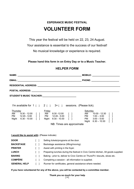# **ESPERANCE MUSIC FESTIVAL VOLUNTEER FORM**

This year the festival will be held on 22, 23, 24 August.

Your assistance is essential to the success of our festival!

No musical knowledge or experience is required.

**Please hand this form in on Entry Day or to a Music Teacher.**

# **HELPER FORM**

|                                                                                                                                                |   |                                   | STUDENT'S MUSIC TEACHER:__________________________                                                                                                                                                                                                                                                          |
|------------------------------------------------------------------------------------------------------------------------------------------------|---|-----------------------------------|-------------------------------------------------------------------------------------------------------------------------------------------------------------------------------------------------------------------------------------------------------------------------------------------------------------|
| Thursday<br>$8:30 - 12:00$ [ ]<br>AM<br>12:45 - 5:00 $\begin{bmatrix} 1 & 1 \\ 1 & 1 \end{bmatrix}$ PM<br><b>PM</b><br>$6.30 - 10.00$<br>Night |   | $\mathbf{I}$ $\mathbf{I}$         | I'm available for $1 \mid 2 \mid 3 + 1$ sessions. (Please tick).<br><b>Saturday</b><br><u>Friday</u><br>8:30 -12:00 [ ]<br>12:45 - 5:00 [ ]<br>AM<br>AM<br>10:00 - 12:30<br>PM 1:00 - 3:00 [ ]<br>PM $3:00 - 5:00$<br>Night $6:30 - 10.00$ $\boxed{)}$<br>Night $6.30 - 10:30$<br>NB: Times are approximate |
| I would like to assist with: (Please indicate)                                                                                                 |   |                                   |                                                                                                                                                                                                                                                                                                             |
| <b>DOOR</b>                                                                                                                                    |   | $\begin{bmatrix} 1 \end{bmatrix}$ | Selling tickets/programs at the door.                                                                                                                                                                                                                                                                       |
| <b>BACKSTAGE</b>                                                                                                                               |   | $\begin{bmatrix} 1 \end{bmatrix}$ | Backstage assistance (lifting/moving).                                                                                                                                                                                                                                                                      |
| <b>PRINTER</b>                                                                                                                                 |   | $\begin{bmatrix} 1 \end{bmatrix}$ | Assist with printing in the foyer.                                                                                                                                                                                                                                                                          |
| <b>LUNCH</b>                                                                                                                                   |   | $\Box$                            | Preparing lunches during the festival in Civic Centre kitchen, All goods supplied.                                                                                                                                                                                                                          |
| <b>BAKING</b>                                                                                                                                  |   | $\begin{bmatrix} 1 \end{bmatrix}$ | Baking - prior to, deliver to Civic Centre on Thurs/Fri: biscuits, slices etc.                                                                                                                                                                                                                              |
| <b>COMPÈRE</b>                                                                                                                                 |   | -1                                | Compèring a session - all information is supplied.                                                                                                                                                                                                                                                          |
| <b>GENERAL HELP</b>                                                                                                                            | L | 1                                 | Runner for certificates, general assistance where needed.                                                                                                                                                                                                                                                   |

**If you have volunteered for any of the above, you will be contacted by a committee member.**

[14] **Thank you so much for your help**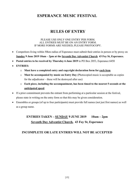# **ESPERANCE MUSIC FESTIVAL**

# **RULES OF ENTRY**

#### PLEASE USE ONLY ONE ENTRY PER FORM. ALL ENTRIES MUST BE ON AN ENTRY FORM. IF MORE FORMS ARE NEEDED, PLEASE PHOTOCOPY.

- Competitors living within 50km radius of Esperance must submit their entries in person or by proxy on **Sunday 9 June 2019 10am – 2pm at the Seventh Day Adventist Church 43 Foy St, Esperance.**
- **Postal entries to be received by Thursday 6 June 2019** to PO Box 2053, Esperance 6450
- **ENTRIES:**
	- o **Must have a completed entry and copyright declaration form for each item**
	- o **Must be accompanied by music on Entry Day** (Photocopied music is acceptable as copies for the adjudicator – these will be destroyed after use)
	- o **Each piece, including the accompaniment, has been timed to the nearest 5 seconds at the anticipated speed**.
- If a prior commitment prevents the entrant from performing at a particular session at the festival, please state in writing on the entry form so that this may be given consideration.
- Ensembles or groups (of up to four participants) must provide full names (not just first names) as well as a group name.

# **ENTRIES TAKEN – SUNDAY 9 JUNE 2019 10am – 2pm Seventh Day Adventist Church, 43 Foy St, Esperance**

# **INCOMPLETE OR LATE ENTRIES WILL NOT BE ACCEPTED**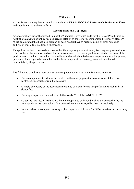#### **COPYRIGHT**

All performers are required to attach a completed **APRA /AMCOS & Performer's Declaration Form** and submit with to each entry form.

#### **Accompanists and Copyright:**

After careful review of the first edition of the "Practical Copyright Guide for the Use of Print Music in Australia", a change of policy has occurred in relation to copies for accompanists. Previously, clause 9.1 of the guide stated that both a soloist and an accompanist have to perform using original published editions of music (i.e. not from a photocopy).

This policy has been reviewed and now rather than requiring a soloist to buy two original pieces of music – one for his or her own use and one for the accompanist – the music publishers listed at the back of the guide have agreed that it would be reasonable in such a situation (where accompaniment is not separately published) for a copy to be made for use by the accompanist but this copy may not be retained indefinitely by the performer.

The following conditions must be met before a photocopy can be made for an accompanist:

- The accompaniment part must be printed on the same page as the solo instrumental or vocal part(s), i.e. inseparable from the solo part.
- A single photocopy of the accompaniment may be made for use in a performance such as in an eisteddfod.
- The single copy must be marked with the words "ACCOMPANIST COPY".
- As per the new No. 5 Declaration, the photocopy is to be handed back to the competitor by the accompanist at the conclusion of the competition and destroyed by them immediately.
- Soloists whose accompanist is using a photocopy must fill out a **No. 5 Declaration Form** on entry day.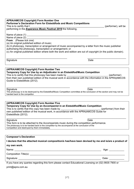| <b>APRA/AMCOS Copyright) Form Number One</b>                                                     |                                                                                                                                 |
|--------------------------------------------------------------------------------------------------|---------------------------------------------------------------------------------------------------------------------------------|
| Performer's Declaration Form for Eisteddfods and Music Competitions                              |                                                                                                                                 |
| This is to certify that I                                                                        | (performer), will be                                                                                                            |
| performing in the <b>Esperance Music Festival 2019</b> the following,                            |                                                                                                                                 |
|                                                                                                  |                                                                                                                                 |
| Name of piece (2) Name of piece (2)                                                              |                                                                                                                                 |
| From: (Please tick one)                                                                          |                                                                                                                                 |
| (a) An original published edition of music;                                                      |                                                                                                                                 |
|                                                                                                  | (b) A photocopy, transcription or arrangement of music accompanied by a letter from the music publisher                         |
| authorising the photocopy, transcription or arrangement; or                                      | (c) An original published edition where both the work and edition are out of copyright (in the public domain).                  |
|                                                                                                  |                                                                                                                                 |
|                                                                                                  |                                                                                                                                 |
| Signature                                                                                        | Date                                                                                                                            |
|                                                                                                  |                                                                                                                                 |
|                                                                                                  |                                                                                                                                 |
| (APRA/AMCOS Copyright) Form Number Two                                                           |                                                                                                                                 |
| Temporary Copy for Use by an Adjudicator in an Eisteddfod/Music Competition                      |                                                                                                                                 |
|                                                                                                  |                                                                                                                                 |
| Guide to Eisteddfods (2012).                                                                     |                                                                                                                                 |
|                                                                                                  |                                                                                                                                 |
|                                                                                                  |                                                                                                                                 |
| Signature                                                                                        | Date                                                                                                                            |
| handed back to the competitor.                                                                   | This photocopy is to be destroyed by the Eisteddfod/Music Competition committee at the conclusion of the section and may not be |
|                                                                                                  |                                                                                                                                 |
|                                                                                                  |                                                                                                                                 |
| (APRA/AMCOS Copyright) Form Number Five                                                          |                                                                                                                                 |
| Temporary Copy for Use by an Accompanist in an Eisteddfod/Music Competition                      |                                                                                                                                 |
|                                                                                                  | (performer) from their                                                                                                          |
|                                                                                                  |                                                                                                                                 |
| Eisteddfods (2012).                                                                              |                                                                                                                                 |
| Signature                                                                                        | Date                                                                                                                            |
| This form is to be attached to the Accompanists music during the competition performance.        |                                                                                                                                 |
| The photocopy is to be handed back to the competitor by the accompanist at the conclusion of the |                                                                                                                                 |
| Competition and destroyed by them immediately.                                                   |                                                                                                                                 |
|                                                                                                  |                                                                                                                                 |
| <b>Composer's Declaration</b>                                                                    |                                                                                                                                 |
|                                                                                                  |                                                                                                                                 |
|                                                                                                  | I declare that the attached musical composition/s has/have been devised by me and is/are a product of                           |
| my own work.                                                                                     |                                                                                                                                 |
|                                                                                                  | Age: ____________                                                                                                               |
|                                                                                                  |                                                                                                                                 |
|                                                                                                  |                                                                                                                                 |
|                                                                                                  | If you have any queries regarding this form please contact Educational Licensing on (02) 9935 7900 or                           |
|                                                                                                  |                                                                                                                                 |
| print@apra.com.au                                                                                |                                                                                                                                 |

[17]